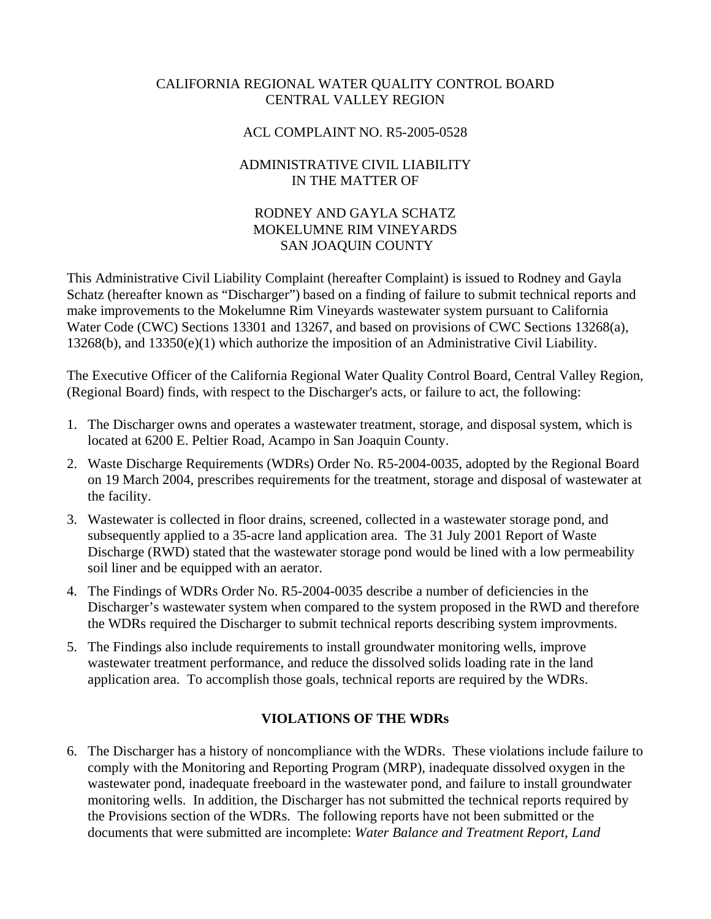# CALIFORNIA REGIONAL WATER QUALITY CONTROL BOARD CENTRAL VALLEY REGION

### ACL COMPLAINT NO. R5-2005-0528

# ADMINISTRATIVE CIVIL LIABILITY IN THE MATTER OF

# RODNEY AND GAYLA SCHATZ MOKELUMNE RIM VINEYARDS SAN JOAQUIN COUNTY

This Administrative Civil Liability Complaint (hereafter Complaint) is issued to Rodney and Gayla Schatz (hereafter known as "Discharger") based on a finding of failure to submit technical reports and make improvements to the Mokelumne Rim Vineyards wastewater system pursuant to California Water Code (CWC) Sections 13301 and 13267, and based on provisions of CWC Sections 13268(a), 13268(b), and 13350(e)(1) which authorize the imposition of an Administrative Civil Liability.

The Executive Officer of the California Regional Water Quality Control Board, Central Valley Region, (Regional Board) finds, with respect to the Discharger's acts, or failure to act, the following:

- 1. The Discharger owns and operates a wastewater treatment, storage, and disposal system, which is located at 6200 E. Peltier Road, Acampo in San Joaquin County.
- 2. Waste Discharge Requirements (WDRs) Order No. R5-2004-0035, adopted by the Regional Board on 19 March 2004, prescribes requirements for the treatment, storage and disposal of wastewater at the facility.
- 3. Wastewater is collected in floor drains, screened, collected in a wastewater storage pond, and subsequently applied to a 35-acre land application area. The 31 July 2001 Report of Waste Discharge (RWD) stated that the wastewater storage pond would be lined with a low permeability soil liner and be equipped with an aerator.
- 4. The Findings of WDRs Order No. R5-2004-0035 describe a number of deficiencies in the Discharger's wastewater system when compared to the system proposed in the RWD and therefore the WDRs required the Discharger to submit technical reports describing system improvments.
- 5. The Findings also include requirements to install groundwater monitoring wells, improve wastewater treatment performance, and reduce the dissolved solids loading rate in the land application area. To accomplish those goals, technical reports are required by the WDRs.

# **VIOLATIONS OF THE WDRs**

6. The Discharger has a history of noncompliance with the WDRs. These violations include failure to comply with the Monitoring and Reporting Program (MRP), inadequate dissolved oxygen in the wastewater pond, inadequate freeboard in the wastewater pond, and failure to install groundwater monitoring wells. In addition, the Discharger has not submitted the technical reports required by the Provisions section of the WDRs. The following reports have not been submitted or the documents that were submitted are incomplete: *Water Balance and Treatment Report*, *Land*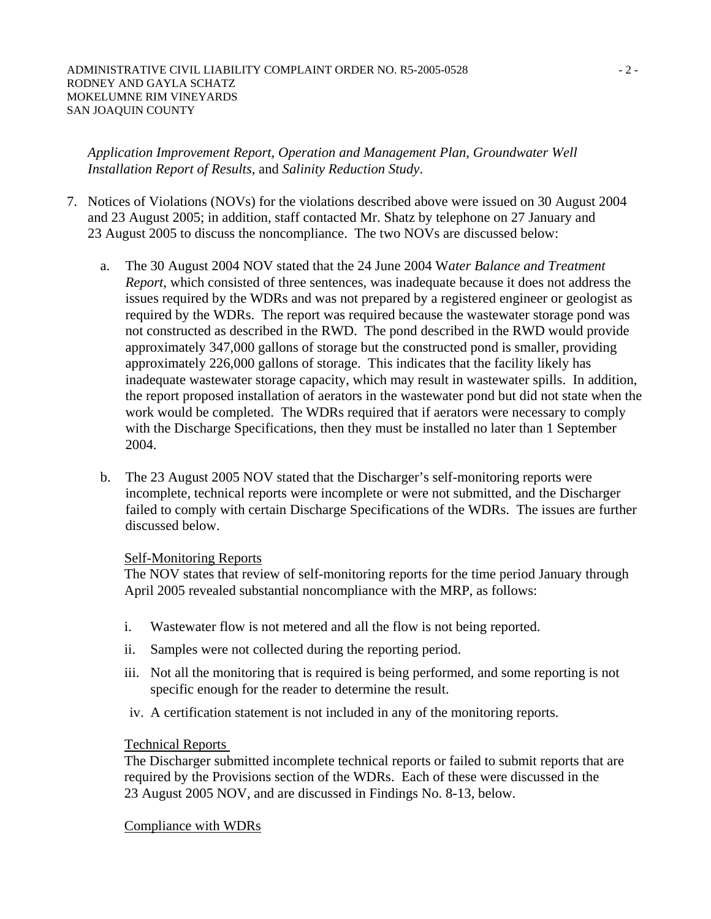#### ADMINISTRATIVE CIVIL LIABILITY COMPLAINT ORDER NO. R5-2005-0528  $-2$ -RODNEY AND GAYLA SCHATZ MOKELUMNE RIM VINEYARDS SAN JOAQUIN COUNTY

*Application Improvement Report*, *Operation and Management Plan*, *Groundwater Well Installation Report of Results*, and *Salinity Reduction Study*.

- 7. Notices of Violations (NOVs) for the violations described above were issued on 30 August 2004 and 23 August 2005; in addition, staff contacted Mr. Shatz by telephone on 27 January and 23 August 2005 to discuss the noncompliance. The two NOVs are discussed below:
	- a. The 30 August 2004 NOV stated that the 24 June 2004 W*ater Balance and Treatment Report*, which consisted of three sentences, was inadequate because it does not address the issues required by the WDRs and was not prepared by a registered engineer or geologist as required by the WDRs. The report was required because the wastewater storage pond was not constructed as described in the RWD. The pond described in the RWD would provide approximately 347,000 gallons of storage but the constructed pond is smaller, providing approximately 226,000 gallons of storage. This indicates that the facility likely has inadequate wastewater storage capacity, which may result in wastewater spills. In addition, the report proposed installation of aerators in the wastewater pond but did not state when the work would be completed. The WDRs required that if aerators were necessary to comply with the Discharge Specifications, then they must be installed no later than 1 September 2004.
	- b. The 23 August 2005 NOV stated that the Discharger's self-monitoring reports were incomplete, technical reports were incomplete or were not submitted, and the Discharger failed to comply with certain Discharge Specifications of the WDRs. The issues are further discussed below.

### Self-Monitoring Reports

The NOV states that review of self-monitoring reports for the time period January through April 2005 revealed substantial noncompliance with the MRP, as follows:

- i. Wastewater flow is not metered and all the flow is not being reported.
- ii. Samples were not collected during the reporting period.
- iii. Not all the monitoring that is required is being performed, and some reporting is not specific enough for the reader to determine the result.
- iv. A certification statement is not included in any of the monitoring reports.

### Technical Reports

The Discharger submitted incomplete technical reports or failed to submit reports that are required by the Provisions section of the WDRs. Each of these were discussed in the 23 August 2005 NOV, and are discussed in Findings No. 8-13, below.

Compliance with WDRs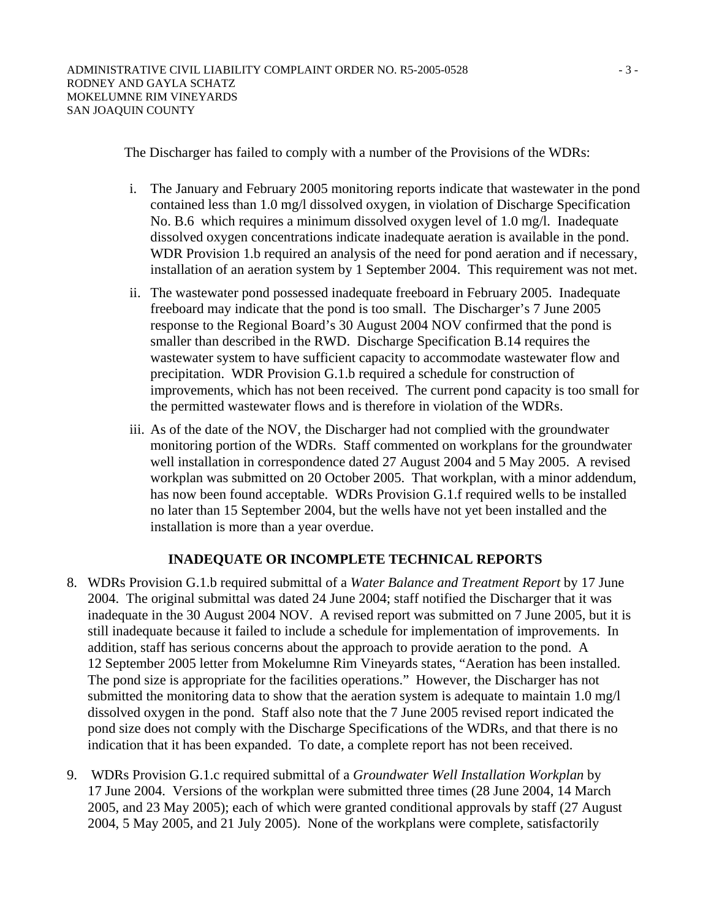The Discharger has failed to comply with a number of the Provisions of the WDRs:

- i. The January and February 2005 monitoring reports indicate that wastewater in the pond contained less than 1.0 mg/l dissolved oxygen, in violation of Discharge Specification No. B.6 which requires a minimum dissolved oxygen level of 1.0 mg/l. Inadequate dissolved oxygen concentrations indicate inadequate aeration is available in the pond. WDR Provision 1.b required an analysis of the need for pond aeration and if necessary, installation of an aeration system by 1 September 2004. This requirement was not met.
- ii. The wastewater pond possessed inadequate freeboard in February 2005. Inadequate freeboard may indicate that the pond is too small. The Discharger's 7 June 2005 response to the Regional Board's 30 August 2004 NOV confirmed that the pond is smaller than described in the RWD. Discharge Specification B.14 requires the wastewater system to have sufficient capacity to accommodate wastewater flow and precipitation. WDR Provision G.1.b required a schedule for construction of improvements, which has not been received. The current pond capacity is too small for the permitted wastewater flows and is therefore in violation of the WDRs.
- iii. As of the date of the NOV, the Discharger had not complied with the groundwater monitoring portion of the WDRs. Staff commented on workplans for the groundwater well installation in correspondence dated 27 August 2004 and 5 May 2005. A revised workplan was submitted on 20 October 2005. That workplan, with a minor addendum, has now been found acceptable. WDRs Provision G.1.f required wells to be installed no later than 15 September 2004, but the wells have not yet been installed and the installation is more than a year overdue.

# **INADEQUATE OR INCOMPLETE TECHNICAL REPORTS**

- 8. WDRs Provision G.1.b required submittal of a *Water Balance and Treatment Report* by 17 June 2004. The original submittal was dated 24 June 2004; staff notified the Discharger that it was inadequate in the 30 August 2004 NOV. A revised report was submitted on 7 June 2005, but it is still inadequate because it failed to include a schedule for implementation of improvements. In addition, staff has serious concerns about the approach to provide aeration to the pond. A 12 September 2005 letter from Mokelumne Rim Vineyards states, "Aeration has been installed. The pond size is appropriate for the facilities operations." However, the Discharger has not submitted the monitoring data to show that the aeration system is adequate to maintain 1.0 mg/l dissolved oxygen in the pond. Staff also note that the 7 June 2005 revised report indicated the pond size does not comply with the Discharge Specifications of the WDRs, and that there is no indication that it has been expanded. To date, a complete report has not been received.
- 9. WDRs Provision G.1.c required submittal of a *Groundwater Well Installation Workplan* by 17 June 2004. Versions of the workplan were submitted three times (28 June 2004, 14 March 2005, and 23 May 2005); each of which were granted conditional approvals by staff (27 August 2004, 5 May 2005, and 21 July 2005). None of the workplans were complete, satisfactorily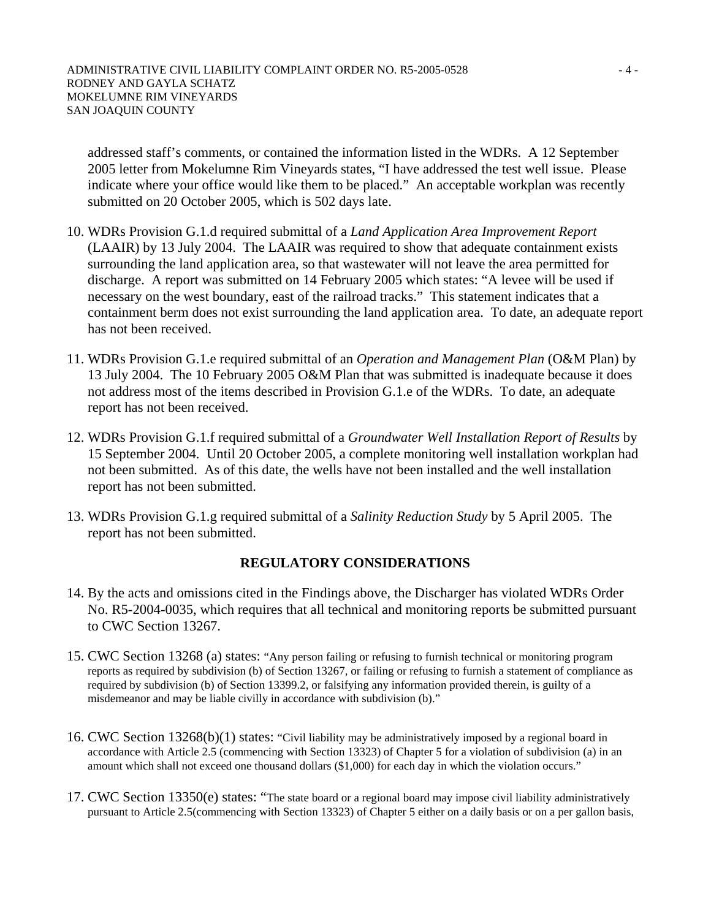addressed staff's comments, or contained the information listed in the WDRs. A 12 September 2005 letter from Mokelumne Rim Vineyards states, "I have addressed the test well issue. Please indicate where your office would like them to be placed." An acceptable workplan was recently submitted on 20 October 2005, which is 502 days late.

- 10. WDRs Provision G.1.d required submittal of a *Land Application Area Improvement Report* (LAAIR) by 13 July 2004. The LAAIR was required to show that adequate containment exists surrounding the land application area, so that wastewater will not leave the area permitted for discharge. A report was submitted on 14 February 2005 which states: "A levee will be used if necessary on the west boundary, east of the railroad tracks." This statement indicates that a containment berm does not exist surrounding the land application area. To date, an adequate report has not been received.
- 11. WDRs Provision G.1.e required submittal of an *Operation and Management Plan* (O&M Plan) by 13 July 2004. The 10 February 2005 O&M Plan that was submitted is inadequate because it does not address most of the items described in Provision G.1.e of the WDRs. To date, an adequate report has not been received.
- 12. WDRs Provision G.1.f required submittal of a *Groundwater Well Installation Report of Results* by 15 September 2004. Until 20 October 2005, a complete monitoring well installation workplan had not been submitted. As of this date, the wells have not been installed and the well installation report has not been submitted.
- 13. WDRs Provision G.1.g required submittal of a *Salinity Reduction Study* by 5 April 2005. The report has not been submitted.

# **REGULATORY CONSIDERATIONS**

- 14. By the acts and omissions cited in the Findings above, the Discharger has violated WDRs Order No. R5-2004-0035, which requires that all technical and monitoring reports be submitted pursuant to CWC Section 13267.
- 15. CWC Section 13268 (a) states: "Any person failing or refusing to furnish technical or monitoring program reports as required by subdivision (b) of Section 13267, or failing or refusing to furnish a statement of compliance as required by subdivision (b) of Section 13399.2, or falsifying any information provided therein, is guilty of a misdemeanor and may be liable civilly in accordance with subdivision (b)."
- 16. CWC Section 13268(b)(1) states: "Civil liability may be administratively imposed by a regional board in accordance with Article 2.5 (commencing with Section 13323) of Chapter 5 for a violation of subdivision (a) in an amount which shall not exceed one thousand dollars (\$1,000) for each day in which the violation occurs."
- 17. CWC Section 13350(e) states: "The state board or a regional board may impose civil liability administratively pursuant to Article 2.5(commencing with Section 13323) of Chapter 5 either on a daily basis or on a per gallon basis,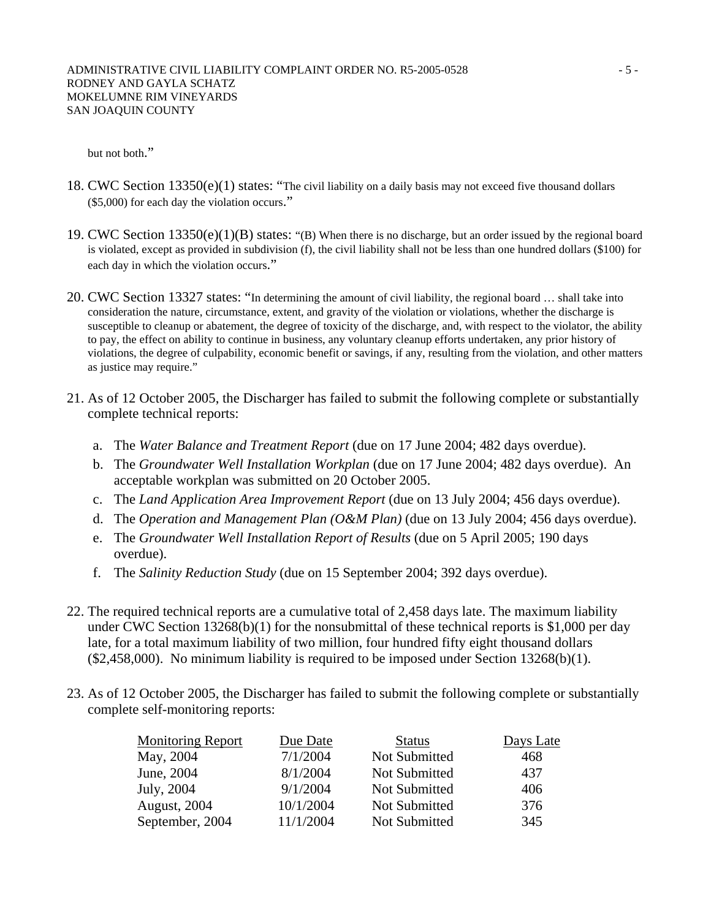but not both."

- 18. CWC Section 13350(e)(1) states: "The civil liability on a daily basis may not exceed five thousand dollars (\$5,000) for each day the violation occurs."
- 19. CWC Section  $13350(e)(1)(B)$  states: "(B) When there is no discharge, but an order issued by the regional board is violated, except as provided in subdivision (f), the civil liability shall not be less than one hundred dollars (\$100) for each day in which the violation occurs."
- 20. CWC Section 13327 states: "In determining the amount of civil liability, the regional board … shall take into consideration the nature, circumstance, extent, and gravity of the violation or violations, whether the discharge is susceptible to cleanup or abatement, the degree of toxicity of the discharge, and, with respect to the violator, the ability to pay, the effect on ability to continue in business, any voluntary cleanup efforts undertaken, any prior history of violations, the degree of culpability, economic benefit or savings, if any, resulting from the violation, and other matters as justice may require."
- 21. As of 12 October 2005, the Discharger has failed to submit the following complete or substantially complete technical reports:
	- a. The *Water Balance and Treatment Report* (due on 17 June 2004; 482 days overdue).
	- b. The *Groundwater Well Installation Workplan* (due on 17 June 2004; 482 days overdue). An acceptable workplan was submitted on 20 October 2005.
	- c. The *Land Application Area Improvement Report* (due on 13 July 2004; 456 days overdue).
	- d. The *Operation and Management Plan (O&M Plan)* (due on 13 July 2004; 456 days overdue).
	- e. The *Groundwater Well Installation Report of Results* (due on 5 April 2005; 190 days overdue).
	- f. The *Salinity Reduction Study* (due on 15 September 2004; 392 days overdue).
- 22. The required technical reports are a cumulative total of 2,458 days late. The maximum liability under CWC Section 13268(b)(1) for the nonsubmittal of these technical reports is \$1,000 per day late, for a total maximum liability of two million, four hundred fifty eight thousand dollars  $($2,458,000)$ . No minimum liability is required to be imposed under Section 13268(b)(1).
- 23. As of 12 October 2005, the Discharger has failed to submit the following complete or substantially complete self-monitoring reports:

| <b>Monitoring Report</b> | Due Date  | <b>Status</b> | Days Late |
|--------------------------|-----------|---------------|-----------|
| May, 2004                | 7/1/2004  | Not Submitted | 468       |
| June, 2004               | 8/1/2004  | Not Submitted | 437       |
| July, 2004               | 9/1/2004  | Not Submitted | 406       |
| August, 2004             | 10/1/2004 | Not Submitted | 376       |
| September, 2004          | 11/1/2004 | Not Submitted | 345       |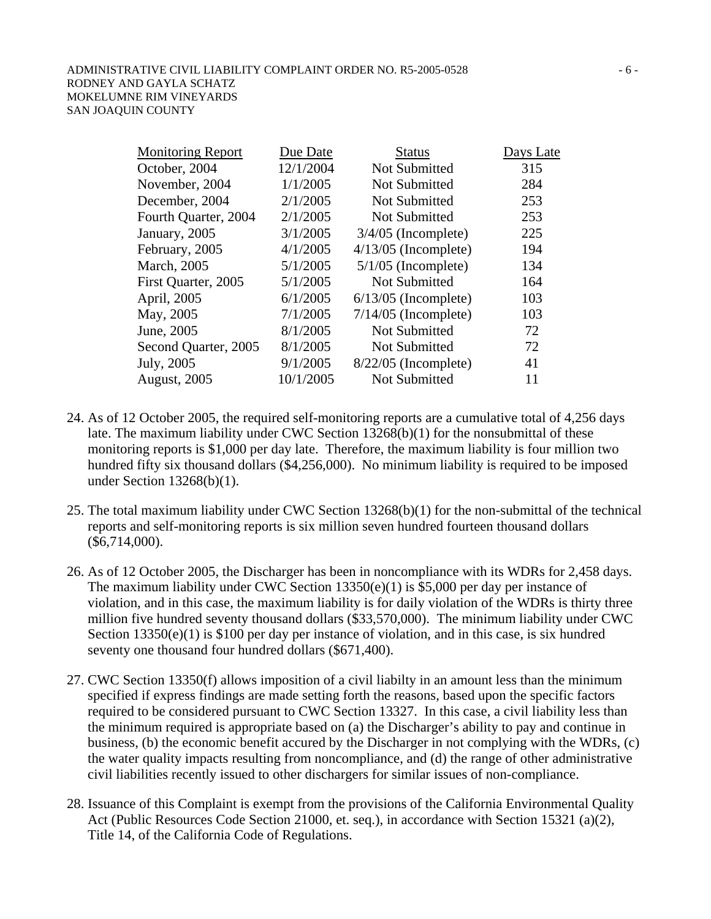| <b>Monitoring Report</b> | Due Date  | <b>Status</b>          | Days Late |
|--------------------------|-----------|------------------------|-----------|
| October, 2004            | 12/1/2004 | Not Submitted          | 315       |
| November, 2004           | 1/1/2005  | <b>Not Submitted</b>   | 284       |
| December, 2004           | 2/1/2005  | <b>Not Submitted</b>   | 253       |
| Fourth Quarter, 2004     | 2/1/2005  | Not Submitted          | 253       |
| January, 2005            | 3/1/2005  | $3/4/05$ (Incomplete)  | 225       |
| February, 2005           | 4/1/2005  | $4/13/05$ (Incomplete) | 194       |
| <b>March</b> , 2005      | 5/1/2005  | $5/1/05$ (Incomplete)  | 134       |
| First Quarter, 2005      | 5/1/2005  | <b>Not Submitted</b>   | 164       |
| April, 2005              | 6/1/2005  | $6/13/05$ (Incomplete) | 103       |
| May, 2005                | 7/1/2005  | $7/14/05$ (Incomplete) | 103       |
| June, 2005               | 8/1/2005  | <b>Not Submitted</b>   | 72        |
| Second Quarter, 2005     | 8/1/2005  | Not Submitted          | 72        |
| July, 2005               | 9/1/2005  | $8/22/05$ (Incomplete) | 41        |
| <b>August, 2005</b>      | 10/1/2005 | <b>Not Submitted</b>   | 11        |

- 24. As of 12 October 2005, the required self-monitoring reports are a cumulative total of 4,256 days late. The maximum liability under CWC Section 13268(b)(1) for the nonsubmittal of these monitoring reports is \$1,000 per day late. Therefore, the maximum liability is four million two hundred fifty six thousand dollars (\$4,256,000). No minimum liability is required to be imposed under Section 13268(b)(1).
- 25. The total maximum liability under CWC Section 13268(b)(1) for the non-submittal of the technical reports and self-monitoring reports is six million seven hundred fourteen thousand dollars (\$6,714,000).
- 26. As of 12 October 2005, the Discharger has been in noncompliance with its WDRs for 2,458 days. The maximum liability under CWC Section 13350(e)(1) is \$5,000 per day per instance of violation, and in this case, the maximum liability is for daily violation of the WDRs is thirty three million five hundred seventy thousand dollars (\$33,570,000). The minimum liability under CWC Section 13350(e)(1) is \$100 per day per instance of violation, and in this case, is six hundred seventy one thousand four hundred dollars (\$671,400).
- 27. CWC Section 13350(f) allows imposition of a civil liabilty in an amount less than the minimum specified if express findings are made setting forth the reasons, based upon the specific factors required to be considered pursuant to CWC Section 13327. In this case, a civil liability less than the minimum required is appropriate based on (a) the Discharger's ability to pay and continue in business, (b) the economic benefit accured by the Discharger in not complying with the WDRs, (c) the water quality impacts resulting from noncompliance, and (d) the range of other administrative civil liabilities recently issued to other dischargers for similar issues of non-compliance.
- 28. Issuance of this Complaint is exempt from the provisions of the California Environmental Quality Act (Public Resources Code Section 21000, et. seq.), in accordance with Section 15321 (a)(2), Title 14, of the California Code of Regulations.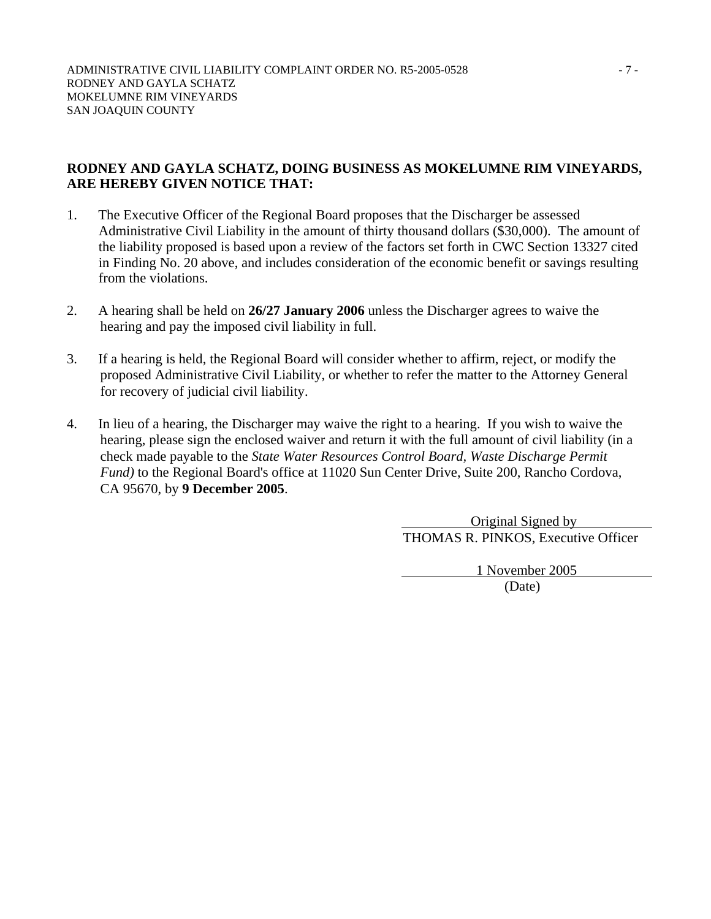### **RODNEY AND GAYLA SCHATZ, DOING BUSINESS AS MOKELUMNE RIM VINEYARDS, ARE HEREBY GIVEN NOTICE THAT:**

- 1. The Executive Officer of the Regional Board proposes that the Discharger be assessed Administrative Civil Liability in the amount of thirty thousand dollars (\$30,000). The amount of the liability proposed is based upon a review of the factors set forth in CWC Section 13327 cited in Finding No. 20 above, and includes consideration of the economic benefit or savings resulting from the violations.
- 2. A hearing shall be held on **26/27 January 2006** unless the Discharger agrees to waive the hearing and pay the imposed civil liability in full.
- 3. If a hearing is held, the Regional Board will consider whether to affirm, reject, or modify the proposed Administrative Civil Liability, or whether to refer the matter to the Attorney General for recovery of judicial civil liability.
- 4. In lieu of a hearing, the Discharger may waive the right to a hearing. If you wish to waive the hearing, please sign the enclosed waiver and return it with the full amount of civil liability (in a check made payable to the *State Water Resources Control Board, Waste Discharge Permit Fund)* to the Regional Board's office at 11020 Sun Center Drive, Suite 200, Rancho Cordova, CA 95670, by **9 December 2005**.

 Original Signed by THOMAS R. PINKOS, Executive Officer

 1 November 2005 (Date)